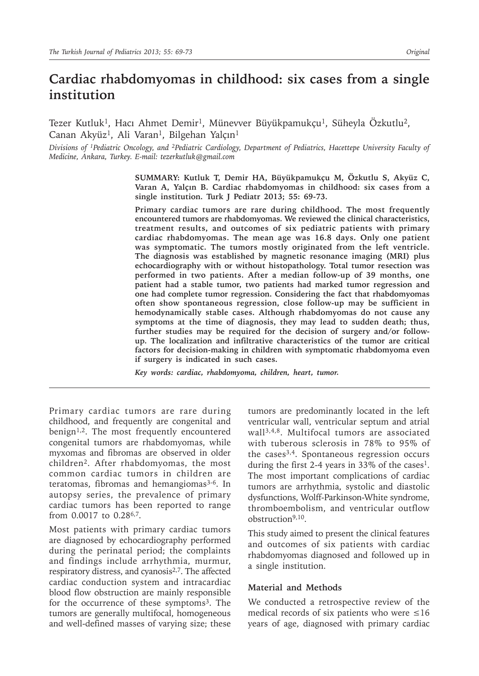# **Cardiac rhabdomyomas in childhood: six cases from a single institution**

Tezer Kutluk<sup>1</sup>, Hacı Ahmet Demir<sup>1</sup>, Münevver Büyükpamukçu<sup>1</sup>, Süheyla Özkutlu<sup>2</sup>, Canan Akyüz<sup>1</sup>, Ali Varan<sup>1</sup>, Bilgehan Yalçın<sup>1</sup>

*Divisions of 1Pediatric Oncology, and 2Pediatric Cardiology, Department of Pediatrics, Hacettepe University Faculty of Medicine, Ankara, Turkey. E-mail: tezerkutluk@gmail.com*

> **SUMMARY: Kutluk T, Demir HA, Büyükpamukçu M, Özkutlu S, Akyüz C, Varan A, Yalçın B. Cardiac rhabdomyomas in childhood: six cases from a single institution. Turk J Pediatr 2013; 55: 69-73.**

> **Primary cardiac tumors are rare during childhood. The most frequently encountered tumors are rhabdomyomas. We reviewed the clinical characteristics, treatment results, and outcomes of six pediatric patients with primary cardiac rhabdomyomas. The mean age was 16.8 days. Only one patient was symptomatic. The tumors mostly originated from the left ventricle. The diagnosis was established by magnetic resonance imaging (MRI) plus echocardiography with or without histopathology. Total tumor resection was performed in two patients. After a median follow-up of 39 months, one patient had a stable tumor, two patients had marked tumor regression and one had complete tumor regression. Considering the fact that rhabdomyomas often show spontaneous regression, close follow-up may be sufficient in hemodynamically stable cases. Although rhabdomyomas do not cause any symptoms at the time of diagnosis, they may lead to sudden death; thus, further studies may be required for the decision of surgery and/or followup. The localization and infiltrative characteristics of the tumor are critical factors for decision-making in children with symptomatic rhabdomyoma even if surgery is indicated in such cases.**

*Key words: cardiac, rhabdomyoma, children, heart, tumor.*

Primary cardiac tumors are rare during childhood, and frequently are congenital and benign<sup>1,2</sup>. The most frequently encountered congenital tumors are rhabdomyomas, while myxomas and fibromas are observed in older children2. After rhabdomyomas, the most common cardiac tumors in children are teratomas, fibromas and hemangiomas<sup>3-6</sup>. In autopsy series, the prevalence of primary cardiac tumors has been reported to range from 0.0017 to 0.286,7.

Most patients with primary cardiac tumors are diagnosed by echocardiography performed during the perinatal period; the complaints and findings include arrhythmia, murmur, respiratory distress, and cyanosis<sup>2,7</sup>. The affected cardiac conduction system and intracardiac blood flow obstruction are mainly responsible for the occurrence of these symptoms<sup>3</sup>. The tumors are generally multifocal, homogeneous and well-defined masses of varying size; these

tumors are predominantly located in the left ventricular wall, ventricular septum and atrial wall3,4,8. Multifocal tumors are associated with tuberous sclerosis in 78% to 95% of the cases3,4. Spontaneous regression occurs during the first 2-4 years in 33% of the cases<sup>1</sup>. The most important complications of cardiac tumors are arrhythmia, systolic and diastolic dysfunctions, Wolff-Parkinson-White syndrome, thromboembolism, and ventricular outflow obstruction9,10.

This study aimed to present the clinical features and outcomes of six patients with cardiac rhabdomyomas diagnosed and followed up in a single institution.

#### **Material and Methods**

We conducted a retrospective review of the medical records of six patients who were  $\leq 16$ years of age, diagnosed with primary cardiac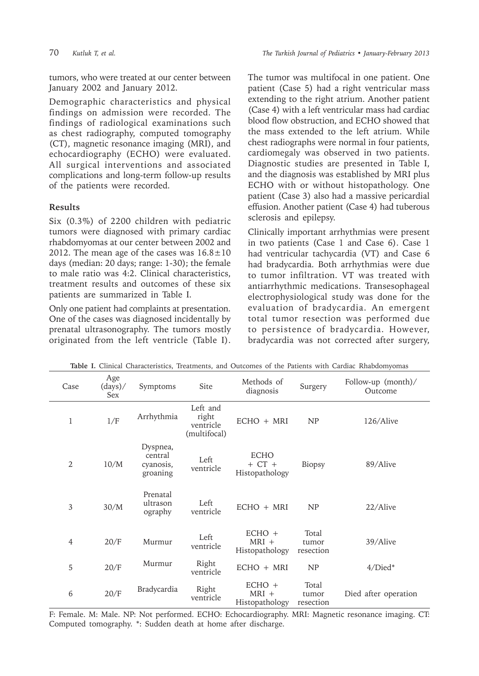tumors, who were treated at our center between January 2002 and January 2012.

Demographic characteristics and physical findings on admission were recorded. The findings of radiological examinations such as chest radiography, computed tomography (CT), magnetic resonance imaging (MRI), and echocardiography (ECHO) were evaluated. All surgical interventions and associated complications and long-term follow-up results of the patients were recorded.

## **Results**

Six (0.3%) of 2200 children with pediatric tumors were diagnosed with primary cardiac rhabdomyomas at our center between 2002 and 2012. The mean age of the cases was  $16.8 \pm 10$ days (median: 20 days; range: 1-30); the female to male ratio was 4:2. Clinical characteristics, treatment results and outcomes of these six patients are summarized in Table I.

Only one patient had complaints at presentation. One of the cases was diagnosed incidentally by prenatal ultrasonography. The tumors mostly originated from the left ventricle (Table I).

The tumor was multifocal in one patient. One patient (Case 5) had a right ventricular mass extending to the right atrium. Another patient (Case 4) with a left ventricular mass had cardiac blood flow obstruction, and ECHO showed that the mass extended to the left atrium. While chest radiographs were normal in four patients, cardiomegaly was observed in two patients. Diagnostic studies are presented in Table I, and the diagnosis was established by MRI plus ECHO with or without histopathology. One patient (Case 3) also had a massive pericardial effusion. Another patient (Case 4) had tuberous sclerosis and epilepsy.

Clinically important arrhythmias were present in two patients (Case 1 and Case 6). Case 1 had ventricular tachycardia (VT) and Case 6 had bradycardia. Both arrhythmias were due to tumor infiltration. VT was treated with antiarrhythmic medications. Transesophageal electrophysiological study was done for the evaluation of bradycardia. An emergent total tumor resection was performed due to persistence of bradycardia. However, bradycardia was not corrected after surgery,

| Case           | Age<br>(days)/<br>Sex | Symptoms                                     | Site                                           | Methods of<br>diagnosis                     | Surgery                     | Follow-up (month)/<br>Outcome |
|----------------|-----------------------|----------------------------------------------|------------------------------------------------|---------------------------------------------|-----------------------------|-------------------------------|
| 1              | 1/F                   | Arrhythmia                                   | Left and<br>right<br>ventricle<br>(multifocal) | $ECHO + MRI$                                | NP                          | 126/Alive                     |
| $\overline{2}$ | 10/M                  | Dyspnea,<br>central<br>cyanosis,<br>groaning | Left<br>ventricle                              | <b>ECHO</b><br>$+$ CT $+$<br>Histopathology | Biopsy                      | 89/Alive                      |
| 3              | 30/M                  | Prenatal<br>ultrason<br>ography              | Left<br>ventricle                              | $ECHO + MRI$                                | NP                          | 22/Alive                      |
| $\overline{4}$ | 20/F                  | Murmur                                       | Left<br>ventricle                              | $ECHO +$<br>$MRI +$<br>Histopathology       | Total<br>tumor<br>resection | 39/Alive                      |
| 5              | 20/F                  | Murmur                                       | Right<br>ventricle                             | $ECHO + MRI$                                | <b>NP</b>                   | $4/Died*$                     |
| 6              | 20/F                  | Bradycardia                                  | Right<br>ventricle                             | $ECHO +$<br>$MRI +$<br>Histopathology       | Total<br>tumor<br>resection | Died after operation          |

F: Female. M: Male. NP: Not performed. ECHO: Echocardiography. MRI: Magnetic resonance imaging. CT: Computed tomography. \*: Sudden death at home after discharge.

**Table I.** Clinical Characteristics, Treatments, and Outcomes of the Patients with Cardiac Rhabdomyomas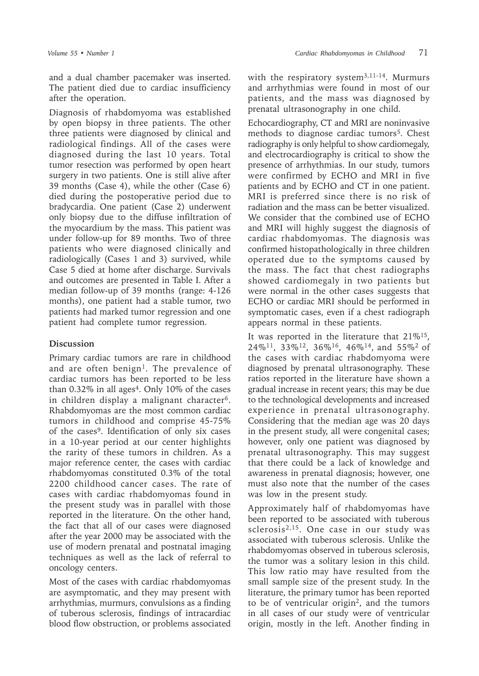and a dual chamber pacemaker was inserted. The patient died due to cardiac insufficiency after the operation.

Diagnosis of rhabdomyoma was established by open biopsy in three patients. The other three patients were diagnosed by clinical and radiological findings. All of the cases were diagnosed during the last 10 years. Total tumor resection was performed by open heart surgery in two patients. One is still alive after 39 months (Case 4), while the other (Case 6) died during the postoperative period due to bradycardia. One patient (Case 2) underwent only biopsy due to the diffuse infiltration of the myocardium by the mass. This patient was under follow-up for 89 months. Two of three patients who were diagnosed clinically and radiologically (Cases 1 and 3) survived, while Case 5 died at home after discharge. Survivals and outcomes are presented in Table I. After a median follow-up of 39 months (range: 4-126 months), one patient had a stable tumor, two patients had marked tumor regression and one patient had complete tumor regression.

### **Discussion**

Primary cardiac tumors are rare in childhood and are often benign<sup>1</sup>. The prevalence of cardiac tumors has been reported to be less than  $0.32\%$  in all ages<sup>4</sup>. Only 10% of the cases in children display a malignant character<sup>6</sup>. Rhabdomyomas are the most common cardiac tumors in childhood and comprise 45-75% of the cases<sup>9</sup>. Identification of only six cases in a 10-year period at our center highlights the rarity of these tumors in children. As a major reference center, the cases with cardiac rhabdomyomas constituted 0.3% of the total 2200 childhood cancer cases. The rate of cases with cardiac rhabdomyomas found in the present study was in parallel with those reported in the literature. On the other hand, the fact that all of our cases were diagnosed after the year 2000 may be associated with the use of modern prenatal and postnatal imaging techniques as well as the lack of referral to oncology centers.

Most of the cases with cardiac rhabdomyomas are asymptomatic, and they may present with arrhythmias, murmurs, convulsions as a finding of tuberous sclerosis, findings of intracardiac blood flow obstruction, or problems associated

with the respiratory system<sup>3,11-14</sup>. Murmurs and arrhythmias were found in most of our patients, and the mass was diagnosed by prenatal ultrasonography in one child.

Echocardiography, CT and MRI are noninvasive methods to diagnose cardiac tumors<sup>5</sup>. Chest radiography is only helpful to show cardiomegaly, and electrocardiography is critical to show the presence of arrhythmias. In our study, tumors were confirmed by ECHO and MRI in five patients and by ECHO and CT in one patient. MRI is preferred since there is no risk of radiation and the mass can be better visualized. We consider that the combined use of ECHO and MRI will highly suggest the diagnosis of cardiac rhabdomyomas. The diagnosis was confirmed histopathologically in three children operated due to the symptoms caused by the mass. The fact that chest radiographs showed cardiomegaly in two patients but were normal in the other cases suggests that ECHO or cardiac MRI should be performed in symptomatic cases, even if a chest radiograph appears normal in these patients.

It was reported in the literature that  $21\%^{15}$ , 24%11, 33%12, 36%16, 46%14, and 55%2 of the cases with cardiac rhabdomyoma were diagnosed by prenatal ultrasonography. These ratios reported in the literature have shown a gradual increase in recent years; this may be due to the technological developments and increased experience in prenatal ultrasonography. Considering that the median age was 20 days in the present study, all were congenital cases; however, only one patient was diagnosed by prenatal ultrasonography. This may suggest that there could be a lack of knowledge and awareness in prenatal diagnosis; however, one must also note that the number of the cases was low in the present study.

Approximately half of rhabdomyomas have been reported to be associated with tuberous sclerosis2,15. One case in our study was associated with tuberous sclerosis. Unlike the rhabdomyomas observed in tuberous sclerosis, the tumor was a solitary lesion in this child. This low ratio may have resulted from the small sample size of the present study. In the literature, the primary tumor has been reported to be of ventricular origin<sup>2</sup>, and the tumors in all cases of our study were of ventricular origin, mostly in the left. Another finding in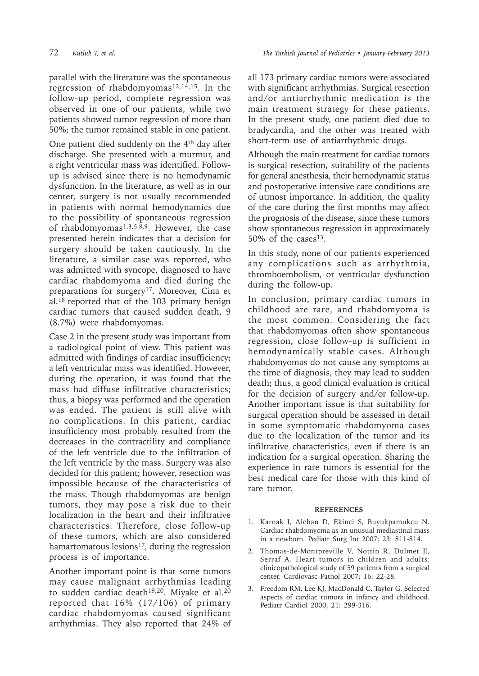parallel with the literature was the spontaneous regression of rhabdomyomas<sup>12,14,15</sup>. In the follow-up period, complete regression was observed in one of our patients, while two patients showed tumor regression of more than 50%; the tumor remained stable in one patient.

One patient died suddenly on the 4th day after discharge. She presented with a murmur, and a right ventricular mass was identified. Followup is advised since there is no hemodynamic dysfunction. In the literature, as well as in our center, surgery is not usually recommended in patients with normal hemodynamics due to the possibility of spontaneous regression of rhabdomyomas<sup>1,3,5,8,9</sup>. However, the case presented herein indicates that a decision for surgery should be taken cautiously. In the literature, a similar case was reported, who was admitted with syncope, diagnosed to have cardiac rhabdomyoma and died during the preparations for surgery<sup>17</sup>. Moreover, Cina et al.18 reported that of the 103 primary benign cardiac tumors that caused sudden death, 9 (8.7%) were rhabdomyomas.

Case 2 in the present study was important from a radiological point of view. This patient was admitted with findings of cardiac insufficiency; a left ventricular mass was identified. However, during the operation, it was found that the mass had diffuse infiltrative characteristics; thus, a biopsy was performed and the operation was ended. The patient is still alive with no complications. In this patient, cardiac insufficiency most probably resulted from the decreases in the contractility and compliance of the left ventricle due to the infiltration of the left ventricle by the mass. Surgery was also decided for this patient; however, resection was impossible because of the characteristics of the mass. Though rhabdomyomas are benign tumors, they may pose a risk due to their localization in the heart and their infiltrative characteristics. Therefore, close follow-up of these tumors, which are also considered hamartomatous lesions<sup>17</sup>, during the regression process is of importance.

Another important point is that some tumors may cause malignant arrhythmias leading to sudden cardiac death<sup>19,20</sup>. Miyake et al.<sup>20</sup> reported that 16% (17/106) of primary cardiac rhabdomyomas caused significant arrhythmias. They also reported that 24% of all 173 primary cardiac tumors were associated with significant arrhythmias. Surgical resection and/or antiarrhythmic medication is the main treatment strategy for these patients. In the present study, one patient died due to bradycardia, and the other was treated with short-term use of antiarrhythmic drugs.

Although the main treatment for cardiac tumors is surgical resection, suitability of the patients for general anesthesia, their hemodynamic status and postoperative intensive care conditions are of utmost importance. In addition, the quality of the care during the first months may affect the prognosis of the disease, since these tumors show spontaneous regression in approximately 50% of the cases<sup>13</sup>.

In this study, none of our patients experienced any complications such as arrhythmia, thromboembolism, or ventricular dysfunction during the follow-up.

In conclusion, primary cardiac tumors in childhood are rare, and rhabdomyoma is the most common. Considering the fact that rhabdomyomas often show spontaneous regression, close follow-up is sufficient in hemodynamically stable cases. Although rhabdomyomas do not cause any symptoms at the time of diagnosis, they may lead to sudden death; thus, a good clinical evaluation is critical for the decision of surgery and/or follow-up. Another important issue is that suitability for surgical operation should be assessed in detail in some symptomatic rhabdomyoma cases due to the localization of the tumor and its infiltrative characteristics, even if there is an indication for a surgical operation. Sharing the experience in rare tumors is essential for the best medical care for those with this kind of rare tumor.

#### **REFERENCES**

- 1. Karnak I, Alehan D, Ekinci S, Buyukpamukcu N. Cardiac rhabdomyoma as an unusual mediastinal mass in a newborn. Pediatr Surg Int 2007; 23: 811-814.
- 2. Thomas-de-Montpreville V, Nottin R, Dulmet E, Serraf A. Heart tumors in children and adults: clinicopathological study of 59 patients from a surgical center. Cardiovasc Pathol 2007; 16: 22-28.
- 3. Freedom RM, Lee KJ, MacDonald C, Taylor G. Selected aspects of cardiac tumors in infancy and childhood. Pediatr Cardiol 2000; 21: 299-316.